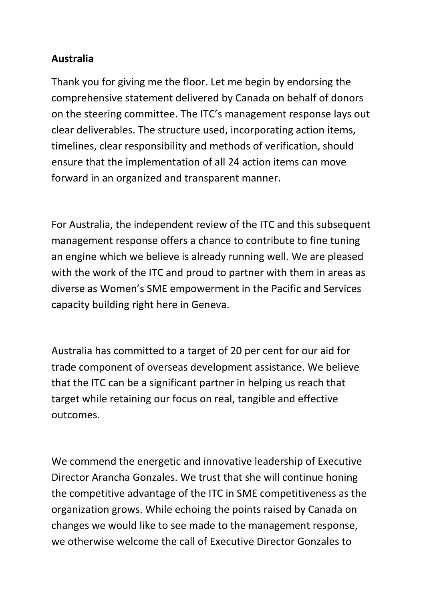## **Australia**

Thank you for giving me the floor. Let me begin by endorsing the comprehensive statement delivered by Canada on behalf of donors on the steering committee. The ITC's management response lays out clear deliverables. The structure used, incorporating action items, timelines, clear responsibility and methods of verification, should ensure that the implementation of all 24 action items can move forward in an organized and transparent manner.

For Australia, the independent review of the ITC and this subsequent management response offers a chance to contribute to fine tuning an engine which we believe is already running well. We are pleased with the work of the ITC and proud to partner with them in areas as diverse as Women's SME empowerment in the Pacific and Services capacity building right here in Geneva.

Australia has committed to a target of 20 per cent for our aid for trade component of overseas development assistance. We believe that the ITC can be a significant partner in helping us reach that target while retaining our focus on real, tangible and effective outcomes.

We commend the energetic and innovative leadership of Executive Director Arancha Gonzales. We trust that she will continue honing the competitive advantage of the ITC in SME competitiveness as the organization grows. While echoing the points raised by Canada on changes we would like to see made to the management response, we otherwise welcome the call of Executive Director Gonzales to